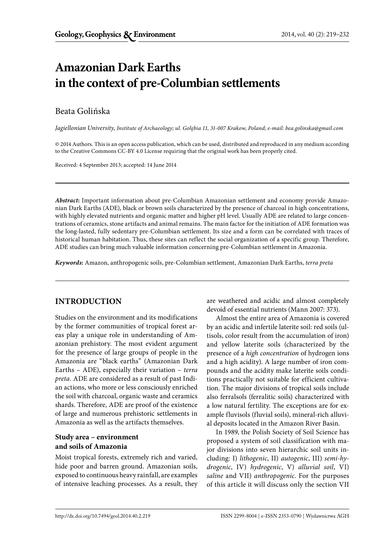# **Amazonian Dark Earths in the context of pre-Columbian settlements**

# Beata Golińska

*Jagiellonian University, Institute of Archaeology; ul. Gołębia 11, 31-007 Krakow, Poland; e-mail: bea.golinska@gmail.com*

© 2014 Authors. This is an open access publication, which can be used, distributed and reproduced in any medium according to the Creative Commons CC-BY 4.0 License requiring that the original work has been properly cited.

Received: 4 September 2013; accepted: 14 June 2014

*Abstract***:** Important information about pre-Columbian Amazonian settlement and economy provide Amazonian Dark Earths (ADE), black or brown soils characterized by the presence of charcoal in high concentrations, with highly elevated nutrients and organic matter and higher pH level. Usually ADE are related to large concentrations of ceramics, stone artifacts and animal remains. The main factor for the initiation of ADE formation was the long-lasted, fully sedentary pre-Columbian settlement. Its size and a form can be correlated with traces of historical human habitation. Thus, these sites can reflect the social organization of a specific group. Therefore, ADE studies can bring much valuable information concerning pre-Columbian settlement in Amazonia.

*Keywords***:** Amazon, anthropogenic soils, pre-Columbian settlement, Amazonian Dark Earths, *terra preta*

# **INTRODUCTION**

Studies on the environment and its modifications by the former communities of tropical forest areas play a unique role in understanding of Amazonian prehistory. The most evident argument for the presence of large groups of people in the Amazonia are "black earths" (Amazonian Dark Earths – ADE), especially their variation – *terra preta.* ADE are considered as a result of past Indian actions, who more or less consciously enriched the soil with charcoal, organic waste and ceramics shards. Therefore, ADE are proof of the existence of large and numerous prehistoric settlements in Amazonia as well as the artifacts themselves.

## **Study area – environment and soils of Amazonia**

Moist tropical forests, extremely rich and varied, hide poor and barren ground. Amazonian soils, exposed to continuous heavy rainfall, are examples of intensive leaching processes. As a result, they are weathered and acidic and almost completely devoid of essential nutrients (Mann 2007: 373).

Almost the entire area of Amazonia is covered by an acidic and infertile laterite soil: red soils (ultisols, color result from the accumulation of iron) and yellow laterite soils (characterized by the presence of a *high concentration* of hydrogen ions and a high acidity). A large number of iron compounds and the acidity make laterite soils conditions practically not suitable for efficient cultivation. The major divisions of tropical soils include also ferralsols (ferralitic soils) characterized with a low natural fertility. The exceptions are for example fluvisols (fluvial soils), mineral-rich alluvial deposits located in the Amazon River Basin.

In 1989, the Polish Society of Soil Science has proposed a system of soil classification with major divisions into seven hierarchic soil units including: I) *lithogenic*, II) *autogenic*, III) *semi-hydrogenic*, IV) *hydrogenic*, V) *alluvial soil*, VI) *saline* and VII) *anthropogenic*. For the purposes of this article it will discuss only the section VII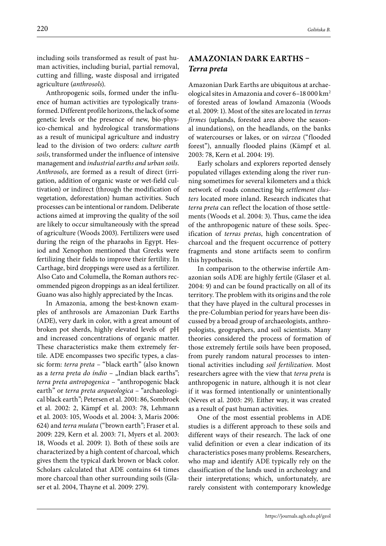including soils transformed as result of past human activities, including burial, partial removal, cutting and filling, waste disposal and irrigated agriculture (*anthrosols*).

Anthropogenic soils, formed under the influence of human activities are typologically transformed. Different profile horizons, the lack of some genetic levels or the presence of new, bio-physico-chemical and hydrological transformations as a result of municipal agriculture and industry lead to the division of two orders: *culture earth soils*, transformed under the influence of intensive management and *industrial earths and urban soils*. *Anthrosols*, are formed as a result of direct (irrigation, addition of organic waste or wet-field cultivation) or indirect (through the modification of vegetation, deforestation) human activities. Such processes can be intentional or random. Deliberate actions aimed at improving the quality of the soil are likely to occur simultaneously with the spread of agriculture (Woods 2003). Fertilizers were used during the reign of the pharaohs in Egypt. Hesiod and Xenophon mentioned that Greeks were fertilizing their fields to improve their fertility. In Carthage, bird droppings were used as a fertilizer. Also Cato and Columella, the Roman authors recommended pigeon droppings as an ideal fertilizer. Guano was also highly appreciated by the Incas.

In Amazonia, among the best-known examples of anthrosols are Amazonian Dark Earths (ADE), very dark in color, with a great amount of broken pot sherds, highly elevated levels of pH and increased concentrations of organic matter. These characteristics make them extremely fertile. ADE encompasses two specific types, a classic form: *terra preta* – "black earth" (also known as a *terra preta do índio* – "Indian black earths"; *terra preta antropogenica* – "anthropogenic black earth" or *terra preta arqueologica* – "archaeological black earth"; Petersen et al. 2001: 86, Sombroek et al. 2002: 2, Kämpf et al. 2003: 78, Lehmann et al. 2003: 105, Woods et al. 2004: 3, Maris 2006: 624) and *terra mulata* ("brown earth"; Fraser et al. 2009: 229, Kern et al. 2003: 71, Myers et al. 2003: 18, Woods et al. 2009: 1). Both of these soils are characterized by a high content of charcoal, which gives them the typical dark brown or black color. Scholars calculated that ADE contains 64 times more charcoal than other surrounding soils (Glaser et al. 2004, Thayne et al. 2009: 279).

# **AMAZONIAN DARK EARTHS –**  *Terra preta*

Amazonian Dark Earths are ubiquitous at archaeological sites in Amazonia and cover 6–18 000 km2 of forested areas of lowland Amazonia (Woods et al. 2009: 1). Most of the sites are located in *terras firmes* (uplands, forested area above the seasonal inundations), on the headlands, on the banks of watercourses or lakes, or on *várzea* ("flooded forest"), annually flooded plains (Kämpf et al. 2003: 78, Kern et al. 2004: 19).

Early scholars and explorers reported densely populated villages extending along the river running sometimes for several kilometers and a thick network of roads connecting big *settlement clusters* located more inland. Research indicates that *terra preta* can reflect the location of those settlements (Woods et al. 2004: 3). Thus, came the idea of the anthropogenic nature of these soils. Specification of *terras pretas*, high concentration of charcoal and the frequent occurrence of pottery fragments and stone artifacts seem to confirm this hypothesis.

In comparison to the otherwise infertile Amazonian soils ADE are highly fertile (Glaser et al. 2004: 9) and can be found practically on all of its territory. The problem with its origins and the role that they have played in the cultural processes in the pre-Columbian period for years have been discussed by a broad group of archaeologists, anthropologists, geographers, and soil scientists. Many theories considered the process of formation of those extremely fertile soils have been proposed, from purely random natural processes to intentional activities including *soil fertilization*. Most researchers agree with the view that *terra preta* is anthropogenic in nature, although it is not clear if it was formed intentionally or unintentionally (Neves et al. 2003: 29). Either way, it was created as a result of past human activities.

One of the most essential problems in ADE studies is a different approach to these soils and different ways of their research. The lack of one valid definition or even a clear indication of its characteristics poses many problems. Researchers, who map and identify ADE typically rely on the classification of the lands used in archeology and their interpretations; which, unfortunately, are rarely consistent with contemporary knowledge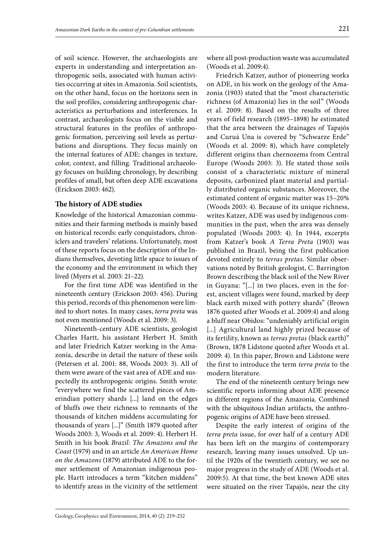of soil science. However, the archaeologists are experts in understanding and interpretation anthropogenic soils, associated with human activities occurring at sites in Amazonia. Soil scientists, on the other hand, focus on the horizons seen in the soil profiles, considering anthropogenic characteristics as perturbations and interferences. In contrast, archaeologists focus on the visible and structural features in the profiles of anthropogenic formation, perceiving soil levels as perturbations and disruptions. They focus mainly on the internal features of ADE: changes in texture, color, context, and filling. Traditional archaeology focuses on building chronology, by describing profiles of small, but often deep ADE excavations (Erickson 2003: 462).

#### **The history of ADE studies**

Knowledge of the historical Amazonian communities and their farming methods is mainly based on historical records: early conquistadors, chroniclers and travelers' relations. Unfortunately, most of these reports focus on the description of the Indians themselves, devoting little space to issues of the economy and the environment in which they lived (Myers et al. 2003: 21–22).

For the first time ADE was identified in the nineteenth century (Erickson 2003: 456). During this period, records of this phenomenon were limited to short notes. In many cases, *terra preta* was not even mentioned (Woods et al. 2009: 3).

Nineteenth-century ADE scientists, geologist Charles Hartt, his assistant Herbert H. Smith and later Friedrich Katzer working in the Amazonia, describe in detail the nature of these soils (Petersen et al. 2001: 88, Woods 2003: 3). All of them were aware of the vast area of ADE and suspectedly its anthropogenic origins. Smith wrote: "everywhere we find the scattered pieces of Amerindian pottery shards [...] land on the edges of bluffs owe their richness to remnants of the thousands of kitchen middens accumulating for thousands of years [...]" (Smith 1879 quoted after Woods 2003: 3, Woods et al. 2009: 4). Herbert H. Smith in his book *Brazil: The Amazons and the Coast* (1979) and in an article *An American Home on the Amazons* (1879) attributed ADE to the former settlement of Amazonian indigenous people. Hartt introduces a term "kitchen middens" to identify areas in the vicinity of the settlement where all post-production waste was accumulated (Woods et al. 2009:4).

Friedrich Katzer, author of pioneering works on ADE, in his work on the geology of the Amazonia (1903) stated that the "most characteristic richness (of Amazonia) lies in the soil" (Woods et al. 2009: 8). Based on the results of three years of field research (1895–1898) he estimated that the area between the drainages of Tapajós and Curuá Una is covered by "Schwarze Erde" (Woods et al. 2009: 8), which have completely different origins than chernozems from Central Europe (Woods 2003: 3). He stated those soils consist of a characteristic mixture of mineral deposits, carbonized plant material and partially distributed organic substances. Moreover, the estimated content of organic matter was 15–20% (Woods 2003: 4). Because of its unique richness, writes Katzer, ADE was used by indigenous communities in the past, when the area was densely populated (Woods 2003: 4). In 1944, excerpts from Katzer's book *A Terra Preta* (1903) was published in Brazil, being the first publication devoted entirely to *terras pretas*. Similar observations noted by British geologist, C. Barrington Brown describing the black soil of the New River in Guyana: "[...] in two places, even in the forest, ancient villages were found, marked by deep black earth mixed with pottery shards" (Brown 1876 quoted after Woods et al. 2009:4) and along a bluff near Obidos: "undeniably artificial origin [...] Agricultural land highly prized because of its fertility, known as *terras pretas* (black earth)" (Brown, 1878 Lidstone quoted after Woods et al. 2009: 4). In this paper, Brown and Lidstone were the first to introduce the term *terra preta* to the modern literature.

The end of the nineteenth century brings new scientific reports informing about ADE presence in different regions of the Amazonia. Combined with the ubiquitous Indian artifacts, the anthropogenic origins of ADE have been stressed.

Despite the early interest of origins of the *terra preta* issue, for over half of a century ADE has been left on the margins of contemporary research, leaving many issues unsolved. Up until the 1920s of the twentieth century, we see no major progress in the study of ADE (Woods et al. 2009:5). At that time, the best known ADE sites were situated on the river Tapajós, near the city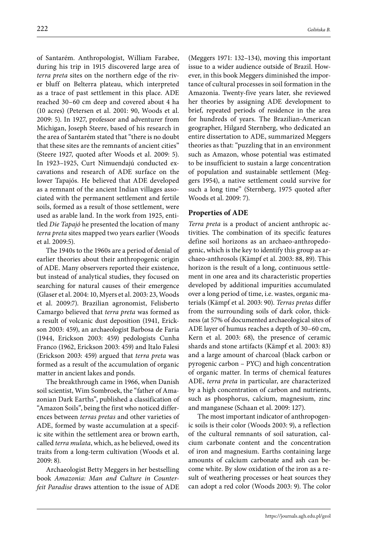of Santarém. Anthropologist, William Farabee, during his trip in 1915 discovered large area of *terra preta* sites on the northern edge of the river bluff on Belterra plateau, which interpreted as a trace of past settlement in this place. ADE reached 30–60 cm deep and covered about 4 ha (10 acres) (Petersen et al. 2001: 90, Woods et al. 2009: 5). In 1927, professor and adventurer from Michigan, Joseph Steere, based of his research in the area of Santarém stated that "there is no doubt that these sites are the remnants of ancient cities" (Steere 1927, quoted after Woods et al. 2009: 5). In 1923–1925, Curt Nimuendajú conducted excavations and research of ADE surface on the lower Tapajós. He believed that ADE developed as a remnant of the ancient Indian villages associated with the permanent settlement and fertile soils, formed as a result of those settlement, were used as arable land. In the work from 1925, entitled *Die Tapajó* he presented the location of many *terra preta* sites mapped two years earlier (Woods et al. 2009:5).

The 1940s to the 1960s are a period of denial of earlier theories about their anthropogenic origin of ADE. Many observers reported their existence, but instead of analytical studies, they focused on searching for natural causes of their emergence (Glaser et al. 2004: 10, Myers et al. 2003: 23, Woods et al. 2009:7). Brazilian agronomist, Felisberto Camargo believed that *terra preta* was formed as a result of volcanic dust deposition (1941, Erickson 2003: 459), an archaeologist Barbosa de Faria (1944, Erickson 2003: 459) pedologists Cunha Franco (1962, Erickson 2003: 459) and Italo Falesi (Erickson 2003: 459) argued that *terra preta* was formed as a result of the accumulation of organic matter in ancient lakes and ponds.

The breakthrough came in 1966, when Danish soil scientist, Wim Sombroek, the "father of Amazonian Dark Earths", published a classification of "Amazon Soils", being the first who noticed differences between *terras pretas* and other varieties of ADE, formed by waste accumulation at a specific site within the settlement area or brown earth, called *terra mulata*, which, as he believed, owed its traits from a long-term cultivation (Woods et al. 2009: 8).

Archaeologist Betty Meggers in her bestselling book *Amazonia: Man and Culture in Counterfeit Paradise* draws attention to the issue of ADE

(Meggers 1971: 132–134), moving this important issue to a wider audience outside of Brazil. However, in this book Meggers diminished the importance of cultural processes in soil formation in the Amazonia. Twenty-five years later, she reviewed her theories by assigning ADE development to brief, repeated periods of residence in the area for hundreds of years. The Brazilian-American geographer, Hilgard Sternberg, who dedicated an entire dissertation to ADE, summarized Meggers theories as that: "puzzling that in an environment such as Amazon, whose potential was estimated to be insufficient to sustain a large concentration of population and sustainable settlement (Meggers 1954), a native settlement could survive for such a long time" (Sternberg, 1975 quoted after Woods et al. 2009: 7).

#### **Properties of ADE**

*Terra preta* is a product of ancient anthropic activities. The combination of its specific features define soil horizons as an archaeo-anthropedogenic, which is the key to identify this group as archaeo-anthrosols (Kämpf et al. 2003: 88, 89). This horizon is the result of a long, continuous settlement in one area and its characteristic properties developed by additional impurities accumulated over a long period of time, i.e. wastes, organic materials (Kämpf et al. 2003: 90). *Terras pretas* differ from the surrounding soils of dark color, thickness (at 57% of documented archaeological sites of ADE layer of humus reaches a depth of 30–60 cm, Kern et al. 2003: 68), the presence of ceramic shards and stone artifacts (Kämpf et al. 2003: 83) and a large amount of charcoal (black carbon or pyrogenic carbon – PYC) and high concentration of organic matter. In terms of chemical features ADE, *terra preta* in particular, are characterized by a high concentration of carbon and nutrients, such as phosphorus, calcium, magnesium, zinc and manganese (Schaan et al. 2009: 127).

The most important indicator of anthropogenic soils is their color (Woods 2003: 9), a reflection of the cultural remnants of soil saturation, calcium carbonate content and the concentration of iron and magnesium. Earths containing large amounts of calcium carbonate and ash can become white. By slow oxidation of the iron as a result of weathering processes or heat sources they can adopt a red color (Woods 2003: 9). The color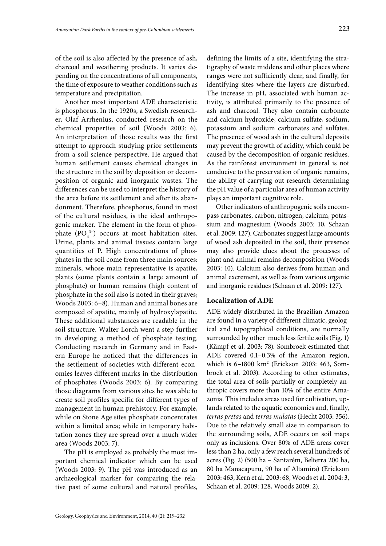area (Woods 2003: 7).

portant chemical indicator which can be used (Woods 2003: 9). The pH was introduced as an archaeological marker for comparing the relative past of some cultural and natural profiles,

The pH is employed as probably the most im-

defining the limits of a site, identifying the stratigraphy of waste middens and other places where ranges were not sufficiently clear, and finally, for identifying sites where the layers are disturbed. The increase in pH, associated with human activity, is attributed primarily to the presence of ash and charcoal. They also contain carbonate and calcium hydroxide, calcium sulfate, sodium, potassium and sodium carbonates and sulfates. The presence of wood ash in the cultural deposits may prevent the growth of acidity, which could be caused by the decomposition of organic residues. As the rainforest environment in general is not conducive to the preservation of organic remains, the ability of carrying out research determining the pH value of a particular area of human activity plays an important cognitive role.

Other indicators of anthropogenic soils encompass carbonates, carbon, nitrogen, calcium, potassium and magnesium (Woods 2003: 10, Schaan et al. 2009: 127). Carbonates suggest large amounts of wood ash deposited in the soil, their presence may also provide clues about the processes of plant and animal remains decomposition (Woods 2003: 10). Calcium also derives from human and animal excrement, as well as from various organic and inorganic residues (Schaan et al. 2009: 127).

#### **Localization of ADE**

ADE widely distributed in the Brazilian Amazon are found in a variety of different climatic, geological and topographical conditions, are normally surrounded by other much less fertile soils (Fig. 1**)** (Kämpf et al. 2003: 78). Sombroek estimated that ADE covered 0.1–0.3% of the Amazon region, which is 6–1800 km2 (Erickson 2003: 463, Sombroek et al. 2003). According to other estimates, the total area of soils partially or completely anthropic covers more than 10% of the entire Amazonia. This includes areas used for cultivation, uplands related to the aquatic economies and, finally, *terras pretas* and *terras mulatas* (Hecht 2003: 356). Due to the relatively small size in comparison to the surrounding soils, ADE occurs on soil maps only as inclusions. Over 80% of ADE areas cover less than 2 ha, only a few reach several hundreds of acres (Fig. 2) (500 ha – Santarém, Belterra 200 ha, 80 ha Manacapuru, 90 ha of Altamira) (Erickson 2003: 463, Kern et al. 2003: 68, Woods et al. 2004: 3, Schaan et al. 2009: 128, Woods 2009: 2).

of the soil is also affected by the presence of ash, charcoal and weathering products. It varies depending on the concentrations of all components, the time of exposure to weather conditions such as

Another most important ADE characteristic is phosphorus. In the 1920s, a Swedish researcher, Olaf Arrhenius, conducted research on the chemical properties of soil (Woods 2003: 6). An interpretation of those results was the first attempt to approach studying prior settlements from a soil science perspective. He argued that human settlement causes chemical changes in the structure in the soil by deposition or decomposition of organic and inorganic wastes. The differences can be used to interpret the history of the area before its settlement and after its abandonment. Therefore, phosphorus, found in most of the cultural residues, is the ideal anthropogenic marker. The element in the form of phosphate  $(PO_4^{3-})$  occurs at most habitation sites. Urine, plants and animal tissues contain large quantities of P. High concentrations of phosphates in the soil come from three main sources: minerals, whose main representative is apatite, plants (some plants contain a large amount of phosphate) or human remains (high content of phosphate in the soil also is noted in their graves; Woods 2003: 6–8). Human and animal bones are composed of apatite, mainly of hydroxylapatite. These additional substances are readable in the soil structure. Walter Lorch went a step further in developing a method of phosphate testing. Conducting research in Germany and in Eastern Europe he noticed that the differences in the settlement of societies with different economies leaves different marks in the distribution of phosphates (Woods 2003: 6). By comparing those diagrams from various sites he was able to create soil profiles specific for different types of management in human prehistory. For example, while on Stone Age sites phosphate concentrates within a limited area; while in temporary habitation zones they are spread over a much wider

temperature and precipitation.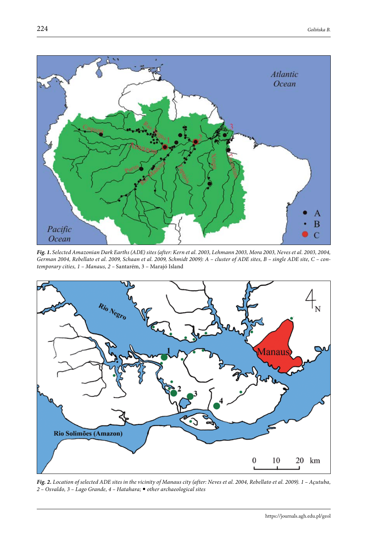

*Fig. 1. Selected Amazonian Dark Earths (ADE) sites (after: Kern et al. 2003, Lehmann 2003, Mora 2003, Neves et al. 2003, 2004, German 2004, Rebellato et al. 2009, Schaan et al. 2009, Schmidt 2009): A – cluster of ADE sites, B – single ADE site, C – contemporary cities, 1 – Manaus, 2 –* Santarém, 3 – Marajó Island



*Fig. 2. Location of selected ADE sites in the vicinity of Manaus city (after: Neves et al. 2004, Rebellato et al. 2009). 1 – Açutuba, 2 – Osvaldo, 3 – Lago Grande, 4 – Hatahara; other archaeological sites*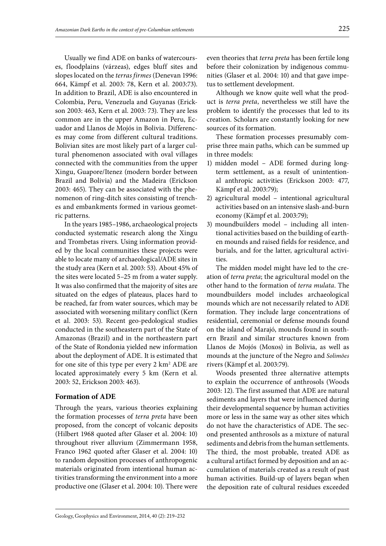Usually we find ADE on banks of watercourses, floodplains (várzeas), edges bluff sites and slopes located on the *terras firmes* (Denevan 1996: 664, Kämpf et al. 2003: 78, Kern et al. 2003:73). In addition to Brazil, ADE is also encountered in Colombia, Peru, Venezuela and Guyanas (Erickson 2003: 463, Kern et al. 2003: 73). They are less common are in the upper Amazon in Peru, Ecuador and Llanos de Mojós in Bolivia. Differences may come from different cultural traditions. Bolivian sites are most likely part of a larger cultural phenomenon associated with oval villages connected with the communities from the upper Xingu, Guapore/Itenez (modern border between Brazil and Bolivia) and the Madeira (Erickson 2003: 465). They can be associated with the phenomenon of ring-ditch sites consisting of trenches and embankments formed in various geometric patterns.

In the years 1985–1986, archaeological projects conducted systematic research along the Xingu and Trombetas rivers. Using information provided by the local communities these projects were able to locate many of archaeological/ADE sites in the study area (Kern et al. 2003: 53). About 45% of the sites were located 5–25 m from a water supply. It was also confirmed that the majority of sites are situated on the edges of plateaus, places hard to be reached, far from water sources, which may be associated with worsening military conflict (Kern et al. 2003: 53). Recent geo-pedological studies conducted in the southeastern part of the State of Amazonas (Brazil) and in the northeastern part of the State of Rondonia yielded new information about the deployment of ADE. It is estimated that for one site of this type per every  $2 \text{ km}^2 \text{ ADE}$  are located approximately every 5 km (Kern et al. 2003: 52, Erickson 2003: 463).

#### **Formation of ADE**

Through the years, various theories explaining the formation processes of *terra preta* have been proposed, from the concept of volcanic deposits (Hilbert 1968 quoted after Glaser et al. 2004: 10) throughout river alluvium (Zimmermann 1958, Franco 1962 quoted after Glaser et al. 2004: 10) to random deposition processes of anthropogenic materials originated from intentional human activities transforming the environment into a more productive one (Glaser et al. 2004: 10). There were

even theories that *terra preta* has been fertile long before their colonization by indigenous communities (Glaser et al. 2004: 10) and that gave impetus to settlement development.

Although we know quite well what the product is *terra preta*, nevertheless we still have the problem to identify the processes that led to its creation. Scholars are constantly looking for new sources of its formation.

These formation processes presumably comprise three main paths, which can be summed up in three models:

- 1) midden model ADE formed during longterm settlement, as a result of unintentional anthropic activities (Erickson 2003: 477, Kämpf et al. 2003:79);
- 2) agricultural model intentional agricultural activities based on an intensive slash-and-burn economy (Kämpf et al. 2003:79);
- 3) moundbuilders model including all intentional activities based on the building of earthen mounds and raised fields for residence, and burials, and for the latter, agricultural activities.

The midden model might have led to the creation of *terra preta*; the agricultural model on the other hand to the formation of *terra mulata*. The moundbuilders model includes archaeological mounds which are not necessarily related to ADE formation. They include large concentrations of residential, ceremonial or defense mounds found on the island of Marajó, mounds found in southern Brazil and similar structures known from Llanos de Mojós (Moxos) in Bolivia, as well as mounds at the juncture of the Negro and *Solimões* rivers (Kämpf et al. 2003:79).

Woods presented three alternative attempts to explain the occurrence of anthrosols (Woods 2003: 12). The first assumed that ADE are natural sediments and layers that were influenced during their developmental sequence by human activities more or less in the same way as other sites which do not have the characteristics of ADE. The second presented anthrosols as a mixture of natural sediments and debris from the human settlements. The third, the most probable, treated ADE as a cultural artifact formed by deposition and an accumulation of materials created as a result of past human activities. Build-up of layers began when the deposition rate of cultural residues exceeded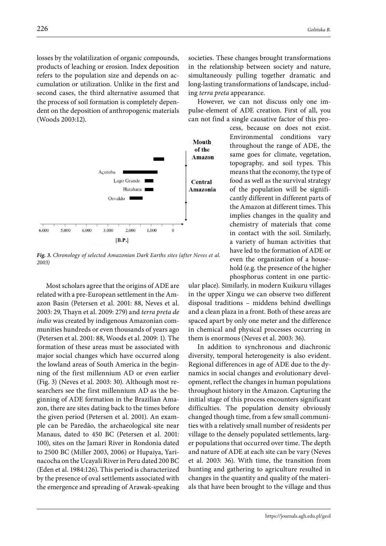losses by the volatilization of organic compounds, products of leaching or erosion. Index deposition refers to the population size and depends on accumulation or utilization. Unlike in the first and second cases, the third alternative assumed that the process of soil formation is completely dependent on the deposition of anthropogenic materials (Woods 2003:12).



*Fig. 3. Chronology of selected Amazonian Dark Earths sites (after Neves et al. 2003)*

Most scholars agree that the origins of ADE are related with a pre-European settlement in the Amazon Basin (Petersen et al. 2001: 88, Neves et al. 2003: 29, Thayn et al. 2009: 279) and *terra preta de indio* was created by indigenous Amazonian communities hundreds or even thousands of years ago (Petersen et al. 2001: 88, Woods et al. 2009: 1). The formation of these areas must be associated with major social changes which have occurred along the lowland areas of South America in the beginning of the first millennium AD or even earlier (Fig. 3) (Neves et al. 2003: 30). Although most researchers see the first millennium AD as the beginning of ADE formation in the Brazilian Amazon, there are sites dating back to the times before the given period (Petersen et al. 2001). An example can be Paredão, the archaeological site near Manaus, dated to 450 BC (Petersen et al. 2001: 100), sites on the Jamari River in Rondonia dated to 2500 BC (Miller 2003, 2006) or Hupaiya, Yarinacocha on the Ucayali River in Peru dated 200 BC (Eden et al. 1984:126). This period is characterized by the presence of oval settlements associated with the emergence and spreading of Arawak-speaking societies. These changes brought transformations in the relationship between society and nature, simultaneously pulling together dramatic and long-lasting transformations of landscape, including *terra preta* appearance.

However, we can not discuss only one impulse-element of ADE creation. First of all, you can not find a single causative factor of this pro-

> cess, because on does not exist. Environmental conditions vary throughout the range of ADE, the same goes for climate, vegetation, topography, and soil types. This means that the economy, the type of food as well as the survival strategy of the population will be significantly different in different parts of the Amazon at different times. This implies changes in the quality and chemistry of materials that come in contact with the soil. Similarly, a variety of human activities that have led to the formation of ADE or even the organization of a household (e.g. the presence of the higher phosphorus content in one partic-

ular place). Similarly, in modern Kuikuru villages in the upper Xingu we can observe two different disposal traditions – middens behind dwellings and a clean plaza in a front. Both of these areas are spaced apart by only one meter and the difference in chemical and physical processes occurring in them is enormous (Neves et al. 2003: 36).

In addition to synchronous and diachronic diversity, temporal heterogeneity is also evident. Regional differences in age of ADE due to the dynamics in social changes and evolutionary development, reflect the changes in human populations throughout history in the Amazon. Capturing the initial stage of this process encounters significant difficulties. The population density obviously changed though time, from a few small communities with a relatively small number of residents per village to the densely populated settlements, larger populations that occurred over time. The depth and nature of ADE at each site can be vary (Neves et al. 2003: 36). With time, the transition from hunting and gathering to agriculture resulted in changes in the quantity and quality of the materials that have been brought to the village and thus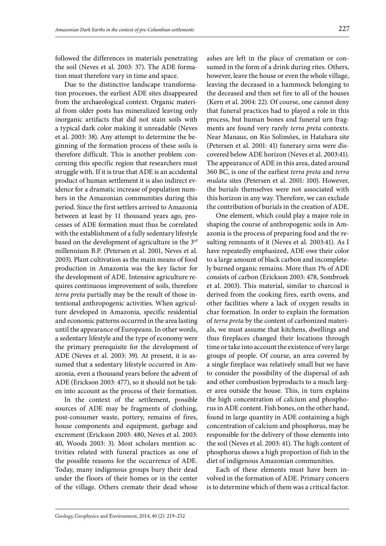followed the differences in materials penetrating the soil (Neves et al. 2003: 37). The ADE formation must therefore vary in time and space.

Due to the distinctive landscape transformation processes, the earliest ADE sites disappeared from the archaeological context. Organic material from older posts has mineralized leaving only inorganic artifacts that did not stain soils with a typical dark color making it unreadable (Neves et al. 2003: 38). Any attempt to determine the beginning of the formation process of these soils is therefore difficult. This is another problem concerning this specific region that researchers must struggle with. If it is true that ADE is an accidental product of human settlement it is also indirect evidence for a dramatic increase of population numbers in the Amazonian communities during this period. Since the first settlers arrived to Amazonia between at least by 11 thousand years ago, processes of ADE formation must thus be correlated with the establishment of a fully sedentary lifestyle based on the development of agriculture in the 3rd millennium B.P. (Petersen et al. 2001, Neves et al. 2003). Plant cultivation as the main means of food production in Amazonia was the key factor for the development of ADE. Intensive agriculture requires continuous improvement of soils, therefore *terra preta* partially may be the result of those intentional anthropogenic activities. When agriculture developed in Amazonia, specific residential and economic patterns occurred in the area lasting until the appearance of Europeans. In other words, a sedentary lifestyle and the type of economy were the primary prerequisite for the development of ADE (Neves et al. 2003: 39). At present, it is assumed that a sedentary lifestyle occurred in Amazonia, even a thousand years before the advent of ADE (Erickson 2003: 477), so it should not be taken into account as the process of their formation.

In the context of the settlement, possible sources of ADE may be fragments of clothing, post-consumer waste, pottery, remains of fires, house components and equipment, garbage and excrement (Erickson 2003: 480, Neves et al. 2003: 40, Woods 2003: 3). Most scholars mention activities related with funeral practices as one of the possible reasons for the occurrence of ADE. Today, many indigenous groups bury their dead under the floors of their homes or in the center of the village. Others cremate their dead whose

ashes are left in the place of cremation or consumed in the form of a drink during rites. Others, however, leave the house or even the whole village, leaving the deceased in a hammock belonging to the deceased and then set fire to all of the houses (Kern et al. 2004: 22). Of course, one cannot deny that funeral practices had to played a role in this process, but human bones and funeral urn fragments are found very rarely *terra preta* contexts. Near Manaus, on Rio Solimões, in Hatahara site (Petersen et al. 2001: 41) funerary urns were discovered below ADE horizon (Neves et al. *2*003:41). The appearance of ADE in this area, dated around 360 BC, is one of the earliest *terra preta* and *terra mulata* sites (Petersen et al. 2001: 100). However, the burials themselves were not associated with this horizon in any way. Therefore, we can exclude the contribution of burials in the creation of ADE.

One element, which could play a major role in shaping the course of anthropogenic soils in Amazonia is the process of preparing food and the resulting remnants of it (Neves et al. 2003:41). As I have repeatedly emphasized, ADE owe their color to a large amount of black carbon and incompletely burned organic remains. More than 1% of ADE consists of carbon (Erickson 2003: 478, Sombroek et al. 2003). This material, similar to charcoal is derived from the cooking fires, earth ovens, and other facilities where a lack of oxygen results in char formation. In order to explain the formation of *terra preta* by the content of carbonized materials, we must assume that kitchens, dwellings and thus fireplaces changed their locations through time or take into account the existence of very large groups of people. Of course, an area covered by a single fireplace was relatively small but we have to consider the possibility of the dispersal of ash and other combustion byproducts to a much larger area outside the house. This, in turn explains the high concentration of calcium and phosphorus in ADE content. Fish bones, on the other hand, found in large quantity in ADE containing a high concentration of calcium and phosphorus, may be responsible for the delivery of those elements into the soil (Neves et al. 2003: 41). The high content of phosphorus shows a high proportion of fish in the diet of indigenous Amazonian communities.

Each of these elements must have been involved in the formation of ADE. Primary concern is to determine which of them was a critical factor.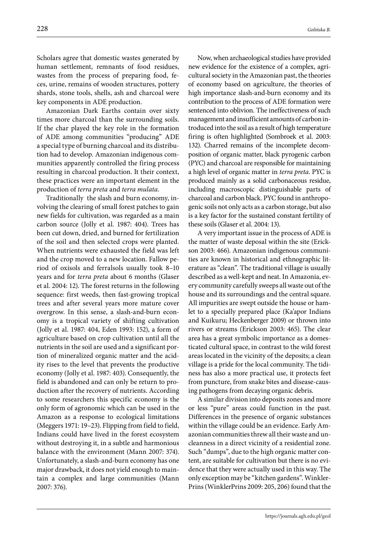Scholars agree that domestic wastes generated by human settlement, remnants of food residues, wastes from the process of preparing food, feces, urine, remains of wooden structures, pottery shards, stone tools, shells, ash and charcoal were key components in ADE production.

Amazonian Dark Earths contain over sixty times more charcoal than the surrounding soils. If the char played the key role in the formation of ADE among communities "producing" ADE a special type of burning charcoal and its distribution had to develop. Amazonian indigenous communities apparently controlled the firing process resulting in charcoal production. It their context, these practices were an important element in the production of *terra preta* and *terra mulata*.

Traditionally the slash and burn economy, involving the clearing of small forest patches to gain new fields for cultivation, was regarded as a main carbon source (Jolly et al. 1987: 404). Trees has been cut down, dried, and burned for fertilization of the soil and then selected crops were planted. When nutrients were exhausted the field was left and the crop moved to a new location. Fallow period of oxisols and ferralsols usually took 8–10 years and for *terra preta* about 6 months (Glaser et al. 2004: 12). The forest returns in the following sequence: first weeds, then fast-growing tropical trees and after several years more mature cover overgrow. In this sense, a slash-and-burn economy is a tropical variety of shifting cultivation (Jolly et al. 1987: 404, Eden 1993: 152), a form of agriculture based on crop cultivation until all the nutrients in the soil are used and a significant portion of mineralized organic matter and the acidity rises to the level that prevents the productive economy (Jolly et al. 1987: 403). Consequently, the field is abandoned and can only be return to production after the recovery of nutrients. According to some researchers this specific economy is the only form of agronomic which can be used in the Amazon as a response to ecological limitations (Meggers 1971: 19–23). Flipping from field to field, Indians could have lived in the forest ecosystem without destroying it, in a subtle and harmonious balance with the environment (Mann 2007: 374). Unfortunately, a slash-and-burn economy has one major drawback, it does not yield enough to maintain a complex and large communities (Mann 2007: 376).

Now, when archaeological studies have provided new evidence for the existence of a complex, agricultural society in the Amazonian past, the theories of economy based on agriculture, the theories of high importance slash-and-burn economy and its contribution to the process of ADE formation were sentenced into oblivion. The ineffectiveness of such management and insufficient amounts of carbon introduced into the soil as a result of high temperature firing is often highlighted (Sombroek et al. 2003: 132). Charred remains of the incomplete decomposition of organic matter, black pyrogenic carbon (PYC) and charcoal are responsible for maintaining a high level of organic matter in *terra preta*. PYC is produced mainly as a solid carbonaceous residue, including macroscopic distinguishable parts of charcoal and carbon black. PYC found in anthropogenic soils not only acts as a carbon storage, but also is a key factor for the sustained constant fertility of these soils (Glaser et al. 2004: 13).

A very important issue in the process of ADE is the matter of waste deposal within the site (Erickson 2003: 466). Amazonian indigenous communities are known in historical and ethnographic literature as "clean". The traditional village is usually described as a well-kept and neat. In Amazonia, every community carefully sweeps all waste out of the house and its surroundings and the central square. All impurities are swept outside the house or hamlet to a specially prepared place (Ka'apor Indians and Kuikuru; Heckenberger 2009) or thrown into rivers or streams (Erickson 2003: 465). The clear area has a great symbolic importance as a domesticated cultural space, in contrast to the wild forest areas located in the vicinity of the deposits; a clean village is a pride for the local community. The tidiness has also a more practical use, it protects feet from puncture, from snake bites and disease-causing pathogens from decaying organic debris.

A similar division into deposits zones and more or less "pure" areas could function in the past. Differences in the presence of organic substances within the village could be an evidence. Early Amazonian communities threw all their waste and uncleanness in a direct vicinity of a residential zone. Such "dumps", due to the high organic matter content, are suitable for cultivation but there is no evidence that they were actually used in this way. The only exception may be "kitchen gardens". Winkler-Prins (WinklerPrins 2009: 205, 206) found that the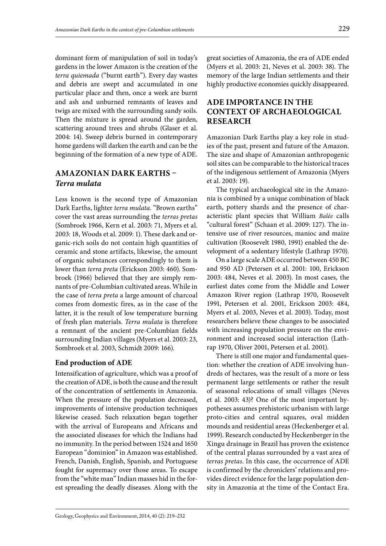dominant form of manipulation of soil in today's gardens in the lower Amazon is the creation of the *terra quiemada* ("burnt earth"). Every day wastes and debris are swept and accumulated in one particular place and then, once a week are burnt and ash and unburned remnants of leaves and twigs are mixed with the surrounding sandy soils. Then the mixture is spread around the garden, scattering around trees and shrubs (Glaser et al. 2004: 14). Sweep debris burned in contemporary home gardens will darken the earth and can be the beginning of the formation of a new type of ADE.

## **AMAZONIAN DARK EARTHS –**  *Terra mulata*

Less known is the second type of Amazonian Dark Earths, lighter *terra mulata*. "Brown earths" cover the vast areas surrounding the *terras pretas*  (Sombroek 1966, Kern et al. 2003: 71, Myers et al. 2003: 18, Woods et al. 2009: 1). These dark and organic-rich soils do not contain high quantities of ceramic and stone artifacts, likewise, the amount of organic substances correspondingly to them is lower than *terra preta* (Erickson 2003: 460). Sombroek (1966) believed that they are simply remnants of pre-Columbian cultivated areas. While in the case of *terra preta* a large amount of charcoal comes from domestic fires, as in the case of the latter, it is the result of low temperature burning of fresh plan materials. *Terra mulata* is therefore a remnant of the ancient pre-Columbian fields surrounding Indian villages (Myers et al. 2003: 23, Sombroek et al. 2003, Schmidt 2009: 166).

## **End production of ADE**

Intensification of agriculture, which was a proof of the creation of ADE, is both the cause and the result of the concentration of settlements in Amazonia. When the pressure of the population decreased, improvements of intensive production techniques likewise ceased. Such relaxation began together with the arrival of Europeans and Africans and the associated diseases for which the Indians had no immunity. In the period between 1524 and 1650 European "dominion" in Amazon was established. French, Danish, English, Spanish, and Portuguese fought for supremacy over those areas. To escape from the "white man" Indian masses hid in the forest spreading the deadly diseases. Along with the

great societies of Amazonia, the era of ADE ended (Myers et al. 2003: 21, Neves et al. 2003: 38). The memory of the large Indian settlements and their highly productive economies quickly disappeared.

## **ADE IMPORTANCE IN THE CONTEXT OF ARCHAEOLOGICAL RESEARCH**

Amazonian Dark Earths play a key role in studies of the past, present and future of the Amazon. The size and shape of Amazonian anthropogenic soil sites can be comparable to the historical traces of the indigenous settlement of Amazonia (Myers et al. 2003: 19).

The typical archaeological site in the Amazonia is combined by a unique combination of black earth, pottery shards and the presence of characteristic plant species that William *Balée* calls "cultural forest" (Schaan et al. 2009: 127). The intensive use of river resources, manioc and maize cultivation (Roosevelt 1980, 1991) enabled the development of a sedentary lifestyle (Lathrap 1970).

On a large scale ADE occurred between 450 BC and 950 AD (Petersen et al. 2001: 100, Erickson 2003: 484, Neves et al. 2003). In most cases, the earliest dates come from the Middle and Lower Amazon River region (Lathrap 1970, Roosevelt 1991, Petersen et al. 2001, Erickson 2003: 484, Myers et al. 2003, Neves et al. 2003). Today, most researchers believe these changes to be associated with increasing population pressure on the environment and increased social interaction (Lathrap 1970, Oliver 2001, Petersen et al. 2001).

There is still one major and fundamental question: whether the creation of ADE involving hundreds of hectares, was the result of a more or less permanent large settlements or rather the result of seasonal relocations of small villages (Neves et al. 2003: 43)? One of the most important hypotheses assumes prehistoric urbanism with large proto-cities and central squares, oval midden mounds and residential areas (Heckenberger et al. 1999). Research conducted by Heckenberger in the Xingu drainage in Brazil has proven the existence of the central plazas surrounded by a vast area of *terras pretas*. In this case, the occurrence of ADE is confirmed by the chroniclers' relations and provides direct evidence for the large population density in Amazonia at the time of the Contact Era.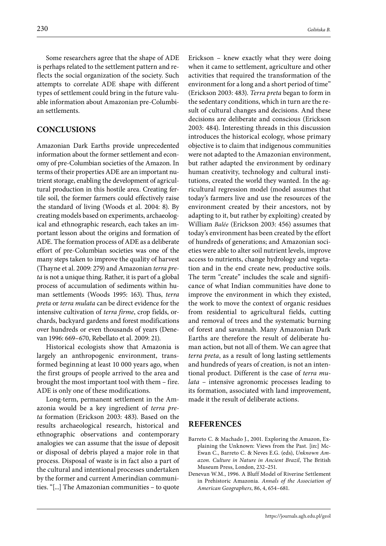Some researchers agree that the shape of ADE is perhaps related to the settlement pattern and reflects the social organization of the society. Such attempts to correlate ADE shape with different types of settlement could bring in the future valuable information about Amazonian pre-Columbian settlements.

#### **CONCLUSIONS**

Amazonian Dark Earths provide unprecedented information about the former settlement and economy of pre-Columbian societies of the Amazon. In terms of their properties ADE are an important nutrient storage, enabling the development of agricultural production in this hostile area. Creating fertile soil, the former farmers could effectively raise the standard of living (Woods et al. 2004: 8). By creating models based on experiments, archaeological and ethnographic research, each takes an important lesson about the origins and formation of ADE. The formation process of ADE as a deliberate effort of pre-Columbian societies was one of the many steps taken to improve the quality of harvest (Thayne et al. 2009: 279) and Amazonian *terra preta* is not a unique thing. Rather, it is part of a global process of accumulation of sediments within human settlements (Woods 1995: 163). Thus, *terra preta* or *terra mulata* can be direct evidence for the intensive cultivation of *terra firme*, crop fields, orchards, backyard gardens and forest modifications over hundreds or even thousands of years (Denevan 1996: 669–670, Rebellato et al. 2009: 21).

Historical ecologists show that Amazonia is largely an anthropogenic environment, transformed beginning at least 10 000 years ago, when the first groups of people arrived to the area and brought the most important tool with them – fire. ADE is only one of these modifications.

Long-term, permanent settlement in the Amazonia would be a key ingredient of *terra preta* formation (Erickson 2003: 483). Based on the results archaeological research, historical and ethnographic observations and contemporary analogies we can assume that the issue of deposit or disposal of debris played a major role in that process. Disposal of waste is in fact also a part of the cultural and intentional processes undertaken by the former and current Amerindian communities. "[...] The Amazonian communities – to quote

Erickson – knew exactly what they were doing when it came to settlement, agriculture and other activities that required the transformation of the environment for a long and a short period of time" (Erickson 2003: 483). *Terra preta* began to form in the sedentary conditions, which in turn are the result of cultural changes and decisions. And these decisions are deliberate and conscious (Erickson 2003: 484). Interesting threads in this discussion introduces the historical ecology, whose primary objective is to claim that indigenous communities were not adapted to the Amazonian environment, but rather adapted the environment by ordinary human creativity, technology and cultural institutions, created the world they wanted. In the agricultural regression model (model assumes that today's farmers live and use the resources of the environment created by their ancestors, not by adapting to it, but rather by exploiting) created by William *Balée* (Erickson 2003: 456) assumes that today's environment has been created by the effort of hundreds of generations; and Amazonian societies were able to alter soil nutrient levels, improve access to nutrients, change hydrology and vegetation and in the end create new, productive soils. The term "create" includes the scale and significance of what Indian communities have done to improve the environment in which they existed, the work to move the context of organic residues from residential to agricultural fields, cutting and removal of trees and the systematic burning of forest and savannah. Many Amazonian Dark Earths are therefore the result of deliberate human action, but not all of them. We can agree that *terra preta*, as a result of long lasting settlements and hundreds of years of creation, is not an intentional product. Different is the case of *terra mulata* – intensive agronomic processes leading to its formation, associated with land improvement, made it the result of deliberate actions.

#### **REFERENCES**

- Barreto C. & Machado J., 2001. Exploring the Amazon, Explaining the Unknown: Views from the Past. [in:] Mc-Ewan C., Barreto C. & Neves E.G. (eds), *Unknown Amazon. Culture in Nature in Ancient Brazil*, The British Museum Press, London, 232–251.
- Denevan W.M., 1996. A Bluff Model of Riverine Settlement in Prehistoric Amazonia*. Annals of the Association of American Geographers*, 86, 4, 654–681.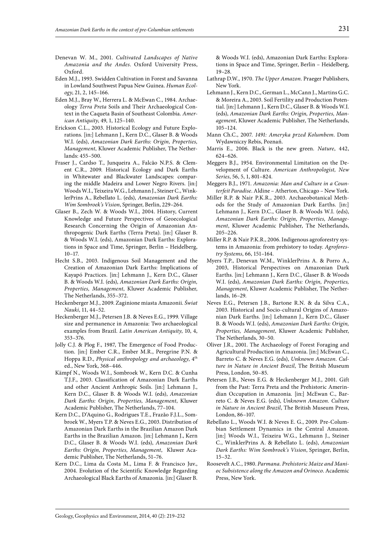- Denevan W. M., 2001. *Cultivated Landscapes of Native Amazonia and the Andes*. Oxford University Press, Oxford.
- Eden M.J., 1993. Swidden Cultivation in Forest and Savanna in Lowland Southwest Papua New Guinea. *Human Ecology*, 21, 2, 145–166.
- Eden M.J., Bray W., Herrera L. & McEwan C., 1984. Archaeology *Terra Preta* Soils and Their Archaeological Context in the Caqueta Basin of Southeast Colombia. *American Antiquity*, 49, 1, 125–140.
- Erickson C.L., 2003. Historical Ecology and Future Explorations*.* [in:] Lehmann J., Kern D.C., Glaser B. & Woods W.I. (eds), *Amazonian Dark Earths: Origin, Properties, Management*, Kluwer Academic Publisher, The Netherlands: 455–500.
- Fraser J., Cardso T., Junqueira A., Falcão N.P.S. & Clement C.R., 2009. Historical Ecology and Dark Earths in Whitewater and Blackwater Landscapes: comparing the middle Madeira and Lower Negro Rivers. [in:] Woods W.I., Teixeira W.G., Lehmann J., Steiner C., WinklerPrins A., Rebellato L. (eds), *Amazonian Dark Earths: Wim Sombroek's Vision*, Springer, Berlin, 229–264.
- Glaser B., Zech W. & Woods W.I., 2004. History, Current Knowledge and Future Perspectives of Geoecological Research Concerning the Origin of Amazonian Anthropogenic Dark Earths (Terra Preta). [in:] Glaser B. & Woods W.I. (eds), Amazonian Dark Earths: Explorations in Space and Time, Springer, Berlin – Heidelberg, 10–17.
- Hecht S.B., 2003. Indigenous Soil Management and the Creation of Amazonian Dark Earths: Implications of Kayapó Practices. [in:] Lehmann J., Kern D.C., Glaser B. & Woods W.I. (eds), *Amazonian Dark Earths: Origin, Properties, Management*, Kluwer Academic Publisher, The Netherlands, 355–372.
- Heckenberger M.J., 2009. Zaginione miasta Amazonii. *Świat Nauki*, 11, 44–52.
- Heckenberger M.J., Petersen J.B. & Neves E.G., 1999. Village size and permanence in Amazonia: Two archaeological examples from Brazil. *Latin American Antiquity*, 10, 4, 353–376.
- Jolly C.J. & Plog F., 1987, The Emergence of Food Production. [in:] [Ember](http://www.amazon.ca/s/ref=dp_byline_sr_book_1?ie=UTF8&field-author=Carol+R.+Ember&search-alias=books-ca) C.R., [Ember](http://www.amazon.ca/s/ref=dp_byline_sr_book_2?ie=UTF8&field-author=Melvin+R.+Ember&search-alias=books-ca) M.R., [Peregrine](http://www.amazon.ca/s/ref=dp_byline_sr_book_3?ie=UTF8&field-author=Peter+N.+Peregrine&search-alias=books-ca) P.N. & [Hoppa](http://www.amazon.ca/s/ref=dp_byline_sr_book_4?ie=UTF8&field-author=Robert+D.+Hoppa&search-alias=books-ca) R.D., *Physical anthropology and archaeology*, 4th ed., New York, 368–446.
- Kämpf N., Woods W.I., Sombroek W., Kern D.C. & Cunha T.J.F., 2003. Classification of Amazonian Dark Earths and other Ancient Anthropic Soils. [in:] Lehmann J., Kern D.C., Glaser B. & Woods W.I. (eds), *Amazonian Dark Earths: Origin, Properties, Management*, Kluwer Academic Publisher, The Netherlands, 77–104.
- Kern D.C., D'Aquino G., Rodrigues T.E., Frazăo F.J.L., Sombroek W., Myers T.P. & Neves E.G., 2003. Distribution of Amazonian Dark Earths in the Brazilian Amazon Dark Earths in the Brazilian Amazon. [in:] Lehmann J., Kern D.C., Glaser B. & Woods W.I. (eds), *Amazonian Dark Earths: Origin, Properties, Management*, Kluwer Academic Publisher, The Netherlands, 51–76.
- Kern D.C., Lima da Costa M., Lima F. & Francisco Juv., 2004. Evolution of the Scientific Knowledge Regarding Archaeological Black Earths of Amazonia. [in:] Glaser B.

& Woods W.I. (eds), Amazonian Dark Earths: Explorations in Space and Time, Springer, Berlin – Heidelberg, 19–28.

- Lathrap D.W., 1970. *The Upper Amazon.* Praeger Publishers, New York.
- Lehmann J., Kern D.C., German L., McCann J., Martins G.C. & Moreira A., 2003. Soil Fertility and Production Potential. [in:] Lehmann J., Kern D.C., Glaser B. & Woods W.I. (eds), *Amazonian Dark Earths: Origin, Properties, Management*, Kluwer Academic Publisher, The Netherlands, 105–124.
- Mann Ch.C., 2007. *1491: Ameryka przed Kolumbem*. Dom Wydawniczy Rebis, Poznań.
- Marris E., 2006. Black is the new green. *Nature*, 442, 624–626.
- Meggers B.J., 1954. Environmental Limitation on the Development of Culture. *American Anthropologist, New Series*, 56, 5, 1, 801–824.
- Meggers B.J., 1971. *Amazonia: Man and Culture in a Counterfeit Paradise*. Aldine – Atherton, Chicago – New York.
- Miller R.P. & Nair P.K.R., 2003. Archaeobotanical Methods for the Study of Amazonian Dark Earths. [in:] Lehmann J., Kern D.C., Glaser B. & Woods W.I. (eds), *Amazonian Dark Earths: Origin, Properties, Management*, Kluwer Academic Publisher, The Netherlands, 205–226.
- Miller R.P. & Nair P.K.R., 2006. Indigenous agroforestry systems in Amazonia: from prehistory to today. *Agroforestry Systems*, 66, 151–164.
- Myers T.P., Denevan W.M., WinklerPrins A. & Porro A., 2003, Historical Perspectives on Amazonian Dark Earths. [in:] Lehmann J., Kern D.C., Glaser B. & Woods W.I. (eds), *Amazonian Dark Earths: Origin, Properties, Management*, Kluwer Academic Publisher, The Netherlands, 16–29.
- Neves E.G., Petersen J.B., Bartone R.N. & da Silva C.A., 2003. Historical and Socio-cultural Origins of Amazonian Dark Earths. [in:] Lehmann J., Kern D.C., Glaser B. & Woods W.I. (eds), *Amazonian Dark Earths: Origin, Properties, Management*, Kluwer Academic Publisher, The Netherlands, 30–50.
- Oliver J.R., 2001. The Archaeology of Forest Foraging and Agricultural Production in Amazonia. [in:] McEwan C., Barreto C. & Neves E.G. (eds), *Unknown Amazon. Culture in Nature in Ancient Brazil*, The British Museum Press, London, 50–85.
- Petersen J.B., Neves E.G. & Heckenberger M.J., 2001. Gift from the Past: Terra Preta and the Prehistoric Amerindian Occupation in Amazonia*.* [in:] McEwan C., Barreto C. & Neves E.G. (eds), *Unknown Amazon. Culture in Nature in Ancient Brazil*, The British Museum Press, London, 86–107.
- Rebellato L., Woods W.I. & Neves E. G., 2009. Pre-Columbian Settlement Dynamics in the Central Amazon. [in:] Woods W.I., Teixeira W.G., Lehmann J., Steiner C., WinklerPrins A. & Rebellato L. (eds), *Amazonian Dark Earths: Wim Sombroek's Vision*, Springer, Berlin, 15–32.
- Roosevelt A.C., 1980. *Parmana. Prehistoric Maize and Manioc Subsistence along the Amazon and Orinoco*. Academic Press, New York.